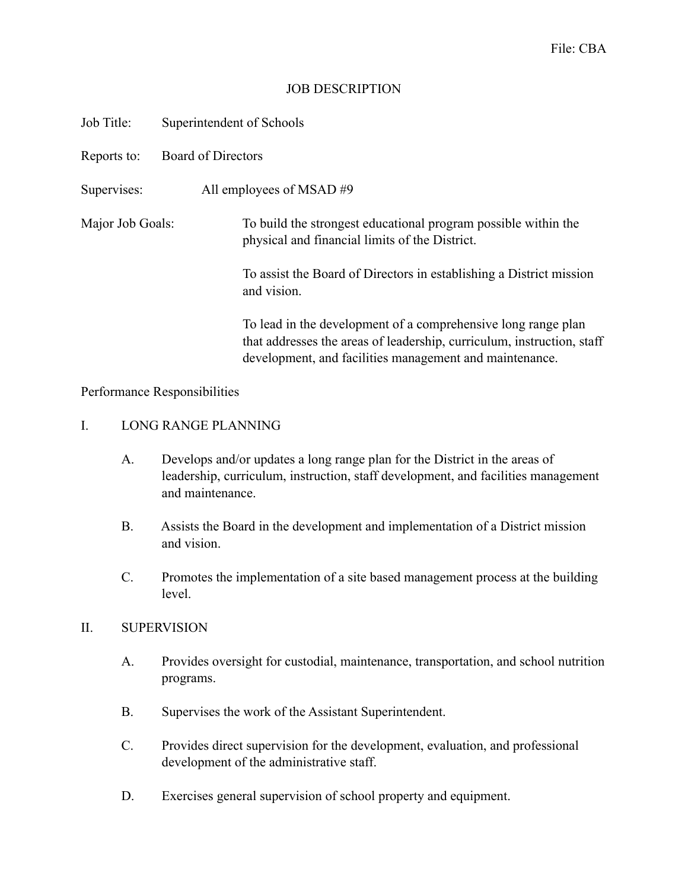## JOB DESCRIPTION

| Job Title:       | Superintendent of Schools  |                                                                                                                                                                                                    |
|------------------|----------------------------|----------------------------------------------------------------------------------------------------------------------------------------------------------------------------------------------------|
| Reports to:      | <b>Board of Directors</b>  |                                                                                                                                                                                                    |
| Supervises:      | All employees of MSAD $#9$ |                                                                                                                                                                                                    |
| Major Job Goals: |                            | To build the strongest educational program possible within the<br>physical and financial limits of the District.                                                                                   |
|                  |                            | To assist the Board of Directors in establishing a District mission<br>and vision.                                                                                                                 |
|                  |                            | To lead in the development of a comprehensive long range plan<br>that addresses the areas of leadership, curriculum, instruction, staff<br>development, and facilities management and maintenance. |

Performance Responsibilities

## I. LONG RANGE PLANNING

- A. Develops and/or updates a long range plan for the District in the areas of leadership, curriculum, instruction, staff development, and facilities management and maintenance.
- B. Assists the Board in the development and implementation of a District mission and vision.
- C. Promotes the implementation of a site based management process at the building level.

# II. SUPERVISION

- A. Provides oversight for custodial, maintenance, transportation, and school nutrition programs.
- B. Supervises the work of the Assistant Superintendent.
- C. Provides direct supervision for the development, evaluation, and professional development of the administrative staff.
- D. Exercises general supervision of school property and equipment.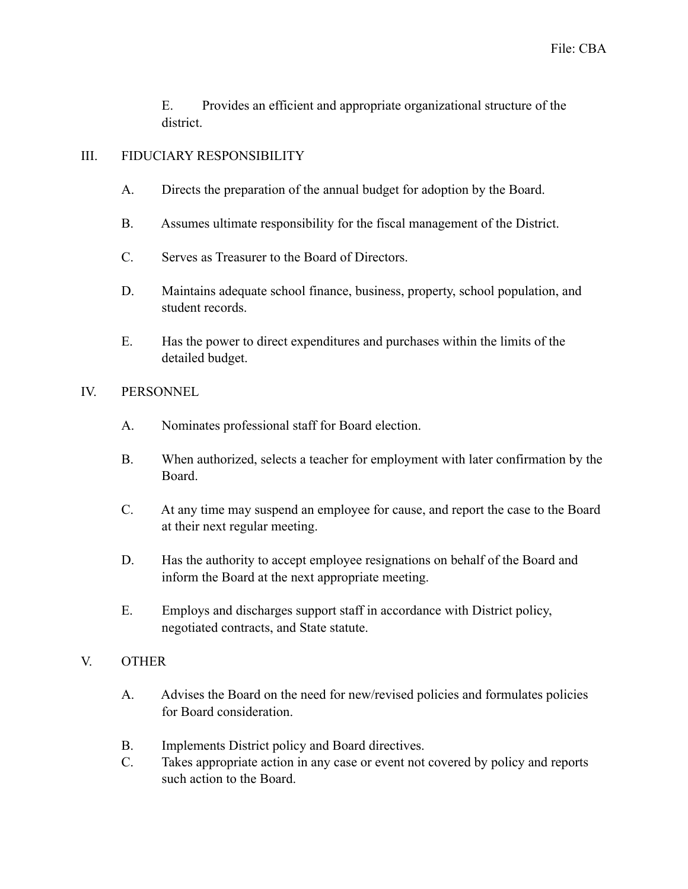E. Provides an efficient and appropriate organizational structure of the district.

## III. FIDUCIARY RESPONSIBILITY

- A. Directs the preparation of the annual budget for adoption by the Board.
- B. Assumes ultimate responsibility for the fiscal management of the District.
- C. Serves as Treasurer to the Board of Directors.
- D. Maintains adequate school finance, business, property, school population, and student records.
- E. Has the power to direct expenditures and purchases within the limits of the detailed budget.

#### IV. PERSONNEL

- A. Nominates professional staff for Board election.
- B. When authorized, selects a teacher for employment with later confirmation by the Board.
- C. At any time may suspend an employee for cause, and report the case to the Board at their next regular meeting.
- D. Has the authority to accept employee resignations on behalf of the Board and inform the Board at the next appropriate meeting.
- E. Employs and discharges support staff in accordance with District policy, negotiated contracts, and State statute.

# V. OTHER

- A. Advises the Board on the need for new/revised policies and formulates policies for Board consideration.
- B. Implements District policy and Board directives.
- C. Takes appropriate action in any case or event not covered by policy and reports such action to the Board.